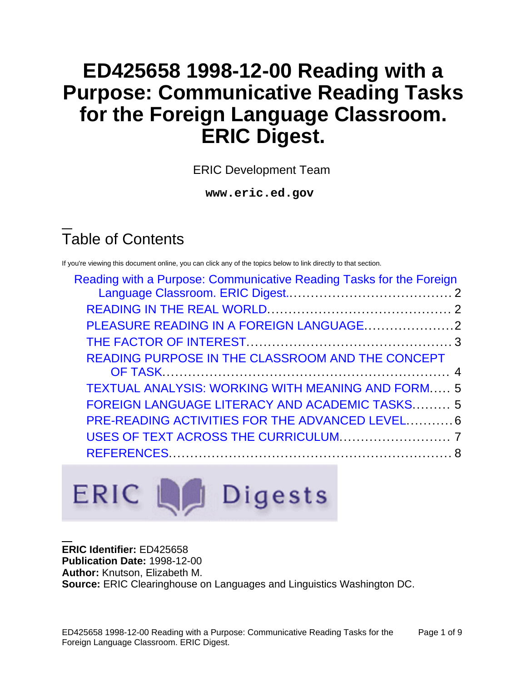# **ED425658 1998-12-00 Reading with a Purpose: Communicative Reading Tasks for the Foreign Language Classroom. ERIC Digest.**

ERIC Development Team

**www.eric.ed.gov**

# Table of Contents

If you're viewing this document online, you can click any of the topics below to link directly to that section.

| Reading with a Purpose: Communicative Reading Tasks for the Foreign |  |
|---------------------------------------------------------------------|--|
|                                                                     |  |
|                                                                     |  |
|                                                                     |  |
| READING PURPOSE IN THE CLASSROOM AND THE CONCEPT                    |  |
| <b>TEXTUAL ANALYSIS: WORKING WITH MEANING AND FORM 5</b>            |  |
| <b>FOREIGN LANGUAGE LITERACY AND ACADEMIC TASKS 5</b>               |  |
| PRE-READING ACTIVITIES FOR THE ADVANCED LEVEL 6                     |  |
|                                                                     |  |
|                                                                     |  |
|                                                                     |  |

# ERIC La Digests

#### **ERIC Identifier:** ED425658

**Publication Date:** 1998-12-00 **Author:** Knutson, Elizabeth M. **Source:** ERIC Clearinghouse on Languages and Linguistics Washington DC.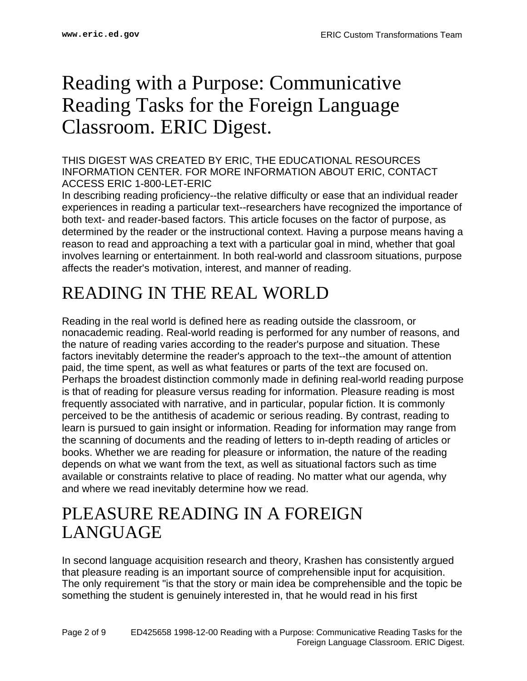# <span id="page-1-0"></span>Reading with a Purpose: Communicative Reading Tasks for the Foreign Language Classroom. ERIC Digest.

#### THIS DIGEST WAS CREATED BY ERIC, THE EDUCATIONAL RESOURCES INFORMATION CENTER. FOR MORE INFORMATION ABOUT ERIC, CONTACT ACCESS ERIC 1-800-LET-ERIC

In describing reading proficiency--the relative difficulty or ease that an individual reader experiences in reading a particular text--researchers have recognized the importance of both text- and reader-based factors. This article focuses on the factor of purpose, as determined by the reader or the instructional context. Having a purpose means having a reason to read and approaching a text with a particular goal in mind, whether that goal involves learning or entertainment. In both real-world and classroom situations, purpose affects the reader's motivation, interest, and manner of reading.

## <span id="page-1-1"></span>READING IN THE REAL WORLD

Reading in the real world is defined here as reading outside the classroom, or nonacademic reading. Real-world reading is performed for any number of reasons, and the nature of reading varies according to the reader's purpose and situation. These factors inevitably determine the reader's approach to the text--the amount of attention paid, the time spent, as well as what features or parts of the text are focused on. Perhaps the broadest distinction commonly made in defining real-world reading purpose is that of reading for pleasure versus reading for information. Pleasure reading is most frequently associated with narrative, and in particular, popular fiction. It is commonly perceived to be the antithesis of academic or serious reading. By contrast, reading to learn is pursued to gain insight or information. Reading for information may range from the scanning of documents and the reading of letters to in-depth reading of articles or books. Whether we are reading for pleasure or information, the nature of the reading depends on what we want from the text, as well as situational factors such as time available or constraints relative to place of reading. No matter what our agenda, why and where we read inevitably determine how we read.

#### <span id="page-1-2"></span>PLEASURE READING IN A FOREIGN LANGUAGE

In second language acquisition research and theory, Krashen has consistently argued that pleasure reading is an important source of comprehensible input for acquisition. The only requirement "is that the story or main idea be comprehensible and the topic be something the student is genuinely interested in, that he would read in his first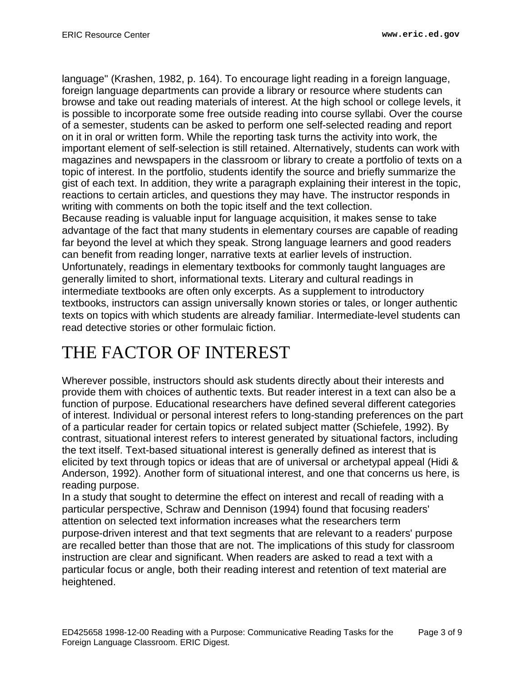language" (Krashen, 1982, p. 164). To encourage light reading in a foreign language, foreign language departments can provide a library or resource where students can browse and take out reading materials of interest. At the high school or college levels, it is possible to incorporate some free outside reading into course syllabi. Over the course of a semester, students can be asked to perform one self-selected reading and report on it in oral or written form. While the reporting task turns the activity into work, the important element of self-selection is still retained. Alternatively, students can work with magazines and newspapers in the classroom or library to create a portfolio of texts on a topic of interest. In the portfolio, students identify the source and briefly summarize the gist of each text. In addition, they write a paragraph explaining their interest in the topic, reactions to certain articles, and questions they may have. The instructor responds in writing with comments on both the topic itself and the text collection.

Because reading is valuable input for language acquisition, it makes sense to take advantage of the fact that many students in elementary courses are capable of reading far beyond the level at which they speak. Strong language learners and good readers can benefit from reading longer, narrative texts at earlier levels of instruction. Unfortunately, readings in elementary textbooks for commonly taught languages are generally limited to short, informational texts. Literary and cultural readings in intermediate textbooks are often only excerpts. As a supplement to introductory textbooks, instructors can assign universally known stories or tales, or longer authentic texts on topics with which students are already familiar. Intermediate-level students can read detective stories or other formulaic fiction.

# <span id="page-2-0"></span>THE FACTOR OF INTEREST

Wherever possible, instructors should ask students directly about their interests and provide them with choices of authentic texts. But reader interest in a text can also be a function of purpose. Educational researchers have defined several different categories of interest. Individual or personal interest refers to long-standing preferences on the part of a particular reader for certain topics or related subject matter (Schiefele, 1992). By contrast, situational interest refers to interest generated by situational factors, including the text itself. Text-based situational interest is generally defined as interest that is elicited by text through topics or ideas that are of universal or archetypal appeal (Hidi & Anderson, 1992). Another form of situational interest, and one that concerns us here, is reading purpose.

In a study that sought to determine the effect on interest and recall of reading with a particular perspective, Schraw and Dennison (1994) found that focusing readers' attention on selected text information increases what the researchers term purpose-driven interest and that text segments that are relevant to a readers' purpose are recalled better than those that are not. The implications of this study for classroom instruction are clear and significant. When readers are asked to read a text with a particular focus or angle, both their reading interest and retention of text material are heightened.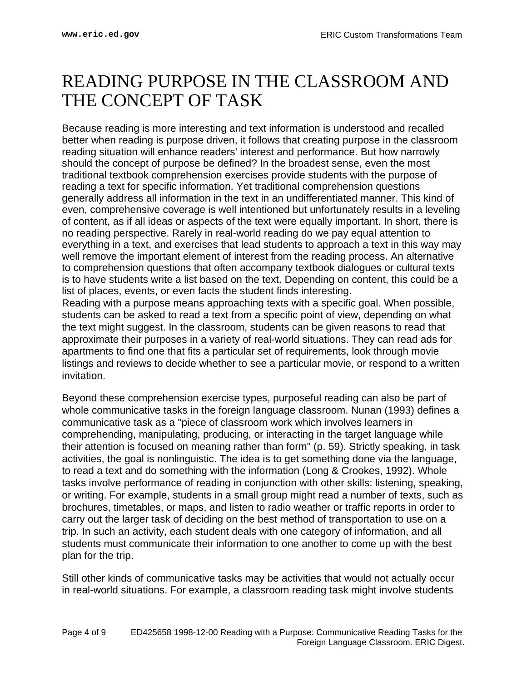#### <span id="page-3-0"></span>READING PURPOSE IN THE CLASSROOM AND THE CONCEPT OF TASK

Because reading is more interesting and text information is understood and recalled better when reading is purpose driven, it follows that creating purpose in the classroom reading situation will enhance readers' interest and performance. But how narrowly should the concept of purpose be defined? In the broadest sense, even the most traditional textbook comprehension exercises provide students with the purpose of reading a text for specific information. Yet traditional comprehension questions generally address all information in the text in an undifferentiated manner. This kind of even, comprehensive coverage is well intentioned but unfortunately results in a leveling of content, as if all ideas or aspects of the text were equally important. In short, there is no reading perspective. Rarely in real-world reading do we pay equal attention to everything in a text, and exercises that lead students to approach a text in this way may well remove the important element of interest from the reading process. An alternative to comprehension questions that often accompany textbook dialogues or cultural texts is to have students write a list based on the text. Depending on content, this could be a list of places, events, or even facts the student finds interesting.

Reading with a purpose means approaching texts with a specific goal. When possible, students can be asked to read a text from a specific point of view, depending on what the text might suggest. In the classroom, students can be given reasons to read that approximate their purposes in a variety of real-world situations. They can read ads for apartments to find one that fits a particular set of requirements, look through movie listings and reviews to decide whether to see a particular movie, or respond to a written invitation.

Beyond these comprehension exercise types, purposeful reading can also be part of whole communicative tasks in the foreign language classroom. Nunan (1993) defines a communicative task as a "piece of classroom work which involves learners in comprehending, manipulating, producing, or interacting in the target language while their attention is focused on meaning rather than form" (p. 59). Strictly speaking, in task activities, the goal is nonlinguistic. The idea is to get something done via the language, to read a text and do something with the information (Long & Crookes, 1992). Whole tasks involve performance of reading in conjunction with other skills: listening, speaking, or writing. For example, students in a small group might read a number of texts, such as brochures, timetables, or maps, and listen to radio weather or traffic reports in order to carry out the larger task of deciding on the best method of transportation to use on a trip. In such an activity, each student deals with one category of information, and all students must communicate their information to one another to come up with the best plan for the trip.

Still other kinds of communicative tasks may be activities that would not actually occur in real-world situations. For example, a classroom reading task might involve students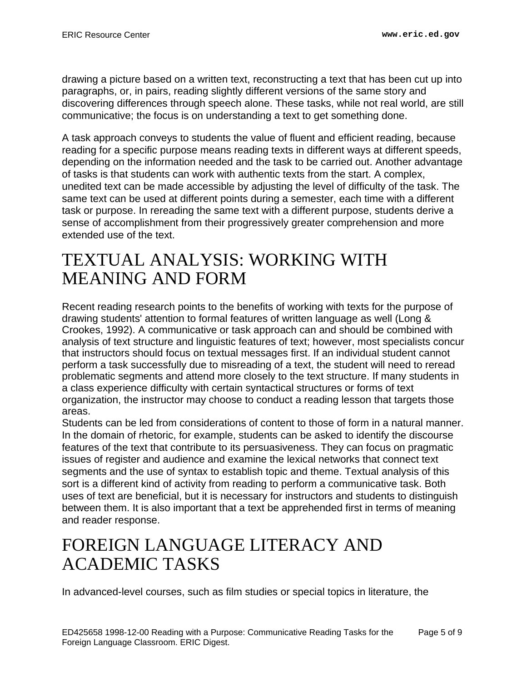drawing a picture based on a written text, reconstructing a text that has been cut up into paragraphs, or, in pairs, reading slightly different versions of the same story and discovering differences through speech alone. These tasks, while not real world, are still communicative; the focus is on understanding a text to get something done.

A task approach conveys to students the value of fluent and efficient reading, because reading for a specific purpose means reading texts in different ways at different speeds, depending on the information needed and the task to be carried out. Another advantage of tasks is that students can work with authentic texts from the start. A complex, unedited text can be made accessible by adjusting the level of difficulty of the task. The same text can be used at different points during a semester, each time with a different task or purpose. In rereading the same text with a different purpose, students derive a sense of accomplishment from their progressively greater comprehension and more extended use of the text.

## <span id="page-4-0"></span>TEXTUAL ANALYSIS: WORKING WITH MEANING AND FORM

Recent reading research points to the benefits of working with texts for the purpose of drawing students' attention to formal features of written language as well (Long & Crookes, 1992). A communicative or task approach can and should be combined with analysis of text structure and linguistic features of text; however, most specialists concur that instructors should focus on textual messages first. If an individual student cannot perform a task successfully due to misreading of a text, the student will need to reread problematic segments and attend more closely to the text structure. If many students in a class experience difficulty with certain syntactical structures or forms of text organization, the instructor may choose to conduct a reading lesson that targets those areas.

Students can be led from considerations of content to those of form in a natural manner. In the domain of rhetoric, for example, students can be asked to identify the discourse features of the text that contribute to its persuasiveness. They can focus on pragmatic issues of register and audience and examine the lexical networks that connect text segments and the use of syntax to establish topic and theme. Textual analysis of this sort is a different kind of activity from reading to perform a communicative task. Both uses of text are beneficial, but it is necessary for instructors and students to distinguish between them. It is also important that a text be apprehended first in terms of meaning and reader response.

# <span id="page-4-1"></span>FOREIGN LANGUAGE LITERACY AND ACADEMIC TASKS

In advanced-level courses, such as film studies or special topics in literature, the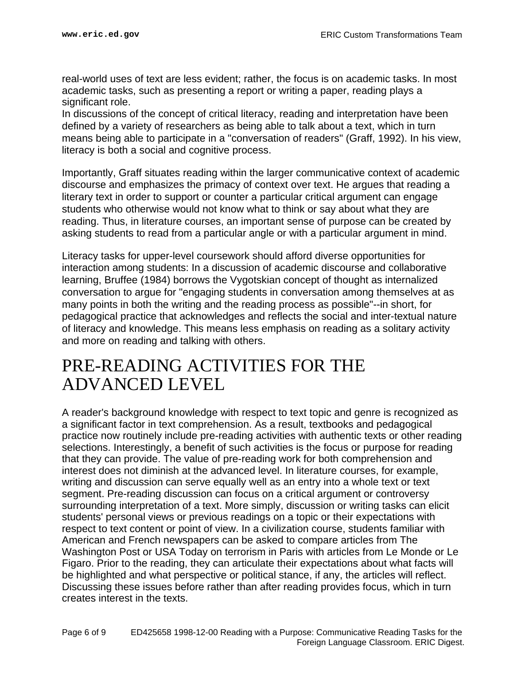real-world uses of text are less evident; rather, the focus is on academic tasks. In most academic tasks, such as presenting a report or writing a paper, reading plays a significant role.

In discussions of the concept of critical literacy, reading and interpretation have been defined by a variety of researchers as being able to talk about a text, which in turn means being able to participate in a "conversation of readers" (Graff, 1992). In his view, literacy is both a social and cognitive process.

Importantly, Graff situates reading within the larger communicative context of academic discourse and emphasizes the primacy of context over text. He argues that reading a literary text in order to support or counter a particular critical argument can engage students who otherwise would not know what to think or say about what they are reading. Thus, in literature courses, an important sense of purpose can be created by asking students to read from a particular angle or with a particular argument in mind.

Literacy tasks for upper-level coursework should afford diverse opportunities for interaction among students: In a discussion of academic discourse and collaborative learning, Bruffee (1984) borrows the Vygotskian concept of thought as internalized conversation to argue for "engaging students in conversation among themselves at as many points in both the writing and the reading process as possible"--in short, for pedagogical practice that acknowledges and reflects the social and inter-textual nature of literacy and knowledge. This means less emphasis on reading as a solitary activity and more on reading and talking with others.

#### <span id="page-5-0"></span>PRE-READING ACTIVITIES FOR THE ADVANCED LEVEL

A reader's background knowledge with respect to text topic and genre is recognized as a significant factor in text comprehension. As a result, textbooks and pedagogical practice now routinely include pre-reading activities with authentic texts or other reading selections. Interestingly, a benefit of such activities is the focus or purpose for reading that they can provide. The value of pre-reading work for both comprehension and interest does not diminish at the advanced level. In literature courses, for example, writing and discussion can serve equally well as an entry into a whole text or text segment. Pre-reading discussion can focus on a critical argument or controversy surrounding interpretation of a text. More simply, discussion or writing tasks can elicit students' personal views or previous readings on a topic or their expectations with respect to text content or point of view. In a civilization course, students familiar with American and French newspapers can be asked to compare articles from The Washington Post or USA Today on terrorism in Paris with articles from Le Monde or Le Figaro. Prior to the reading, they can articulate their expectations about what facts will be highlighted and what perspective or political stance, if any, the articles will reflect. Discussing these issues before rather than after reading provides focus, which in turn creates interest in the texts.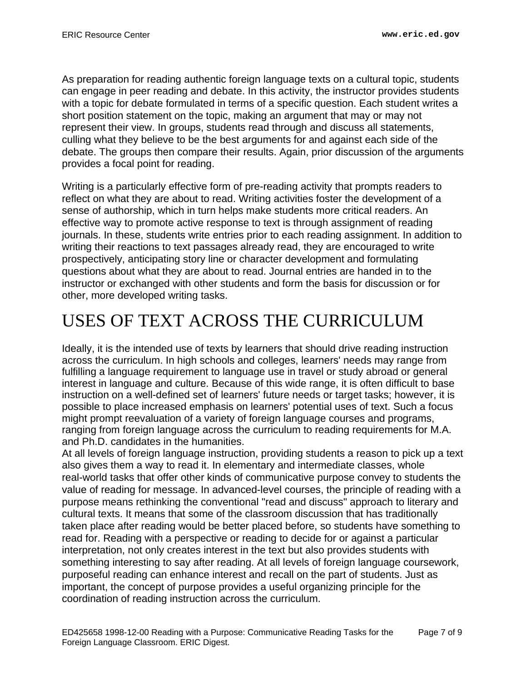As preparation for reading authentic foreign language texts on a cultural topic, students can engage in peer reading and debate. In this activity, the instructor provides students with a topic for debate formulated in terms of a specific question. Each student writes a short position statement on the topic, making an argument that may or may not represent their view. In groups, students read through and discuss all statements, culling what they believe to be the best arguments for and against each side of the debate. The groups then compare their results. Again, prior discussion of the arguments provides a focal point for reading.

Writing is a particularly effective form of pre-reading activity that prompts readers to reflect on what they are about to read. Writing activities foster the development of a sense of authorship, which in turn helps make students more critical readers. An effective way to promote active response to text is through assignment of reading journals. In these, students write entries prior to each reading assignment. In addition to writing their reactions to text passages already read, they are encouraged to write prospectively, anticipating story line or character development and formulating questions about what they are about to read. Journal entries are handed in to the instructor or exchanged with other students and form the basis for discussion or for other, more developed writing tasks.

# <span id="page-6-0"></span>USES OF TEXT ACROSS THE CURRICULUM

Ideally, it is the intended use of texts by learners that should drive reading instruction across the curriculum. In high schools and colleges, learners' needs may range from fulfilling a language requirement to language use in travel or study abroad or general interest in language and culture. Because of this wide range, it is often difficult to base instruction on a well-defined set of learners' future needs or target tasks; however, it is possible to place increased emphasis on learners' potential uses of text. Such a focus might prompt reevaluation of a variety of foreign language courses and programs, ranging from foreign language across the curriculum to reading requirements for M.A. and Ph.D. candidates in the humanities.

At all levels of foreign language instruction, providing students a reason to pick up a text also gives them a way to read it. In elementary and intermediate classes, whole real-world tasks that offer other kinds of communicative purpose convey to students the value of reading for message. In advanced-level courses, the principle of reading with a purpose means rethinking the conventional "read and discuss" approach to literary and cultural texts. It means that some of the classroom discussion that has traditionally taken place after reading would be better placed before, so students have something to read for. Reading with a perspective or reading to decide for or against a particular interpretation, not only creates interest in the text but also provides students with something interesting to say after reading. At all levels of foreign language coursework, purposeful reading can enhance interest and recall on the part of students. Just as important, the concept of purpose provides a useful organizing principle for the coordination of reading instruction across the curriculum.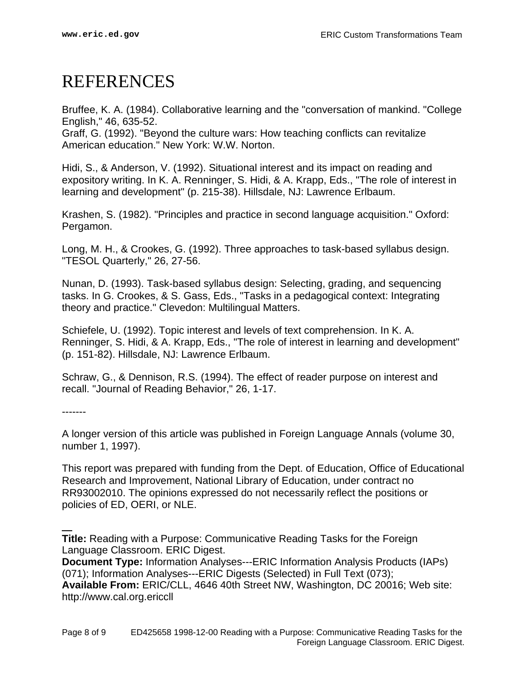## <span id="page-7-0"></span>REFERENCES

Bruffee, K. A. (1984). Collaborative learning and the "conversation of mankind. "College English," 46, 635-52.

Graff, G. (1992). "Beyond the culture wars: How teaching conflicts can revitalize American education." New York: W.W. Norton.

Hidi, S., & Anderson, V. (1992). Situational interest and its impact on reading and expository writing. In K. A. Renninger, S. Hidi, & A. Krapp, Eds., "The role of interest in learning and development" (p. 215-38). Hillsdale, NJ: Lawrence Erlbaum.

Krashen, S. (1982). "Principles and practice in second language acquisition." Oxford: Pergamon.

Long, M. H., & Crookes, G. (1992). Three approaches to task-based syllabus design. "TESOL Quarterly," 26, 27-56.

Nunan, D. (1993). Task-based syllabus design: Selecting, grading, and sequencing tasks. In G. Crookes, & S. Gass, Eds., "Tasks in a pedagogical context: Integrating theory and practice." Clevedon: Multilingual Matters.

Schiefele, U. (1992). Topic interest and levels of text comprehension. In K. A. Renninger, S. Hidi, & A. Krapp, Eds., "The role of interest in learning and development" (p. 151-82). Hillsdale, NJ: Lawrence Erlbaum.

Schraw, G., & Dennison, R.S. (1994). The effect of reader purpose on interest and recall. "Journal of Reading Behavior," 26, 1-17.

-------

A longer version of this article was published in Foreign Language Annals (volume 30, number 1, 1997).

This report was prepared with funding from the Dept. of Education, Office of Educational Research and Improvement, National Library of Education, under contract no RR93002010. The opinions expressed do not necessarily reflect the positions or policies of ED, OERI, or NLE.

**Title:** Reading with a Purpose: Communicative Reading Tasks for the Foreign Language Classroom. ERIC Digest.

**Document Type:** Information Analyses---ERIC Information Analysis Products (IAPs) (071); Information Analyses---ERIC Digests (Selected) in Full Text (073); **Available From:** ERIC/CLL, 4646 40th Street NW, Washington, DC 20016; Web site: http://www.cal.org.ericcll